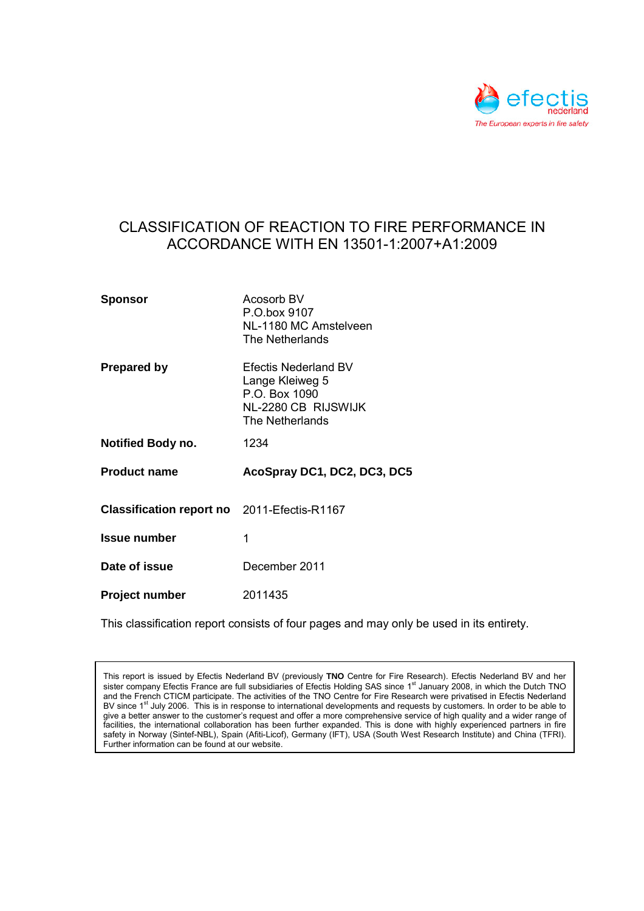

# CLASSIFICATION OF REACTION TO FIRE PERFORMANCE IN ACCORDANCE WITH EN 13501-1:2007+A1:2009

| <b>Sponsor</b>                                                | Acosorb BV<br>P.O.box 9107<br>NL-1180 MC Amstelveen<br>The Netherlands                                    |
|---------------------------------------------------------------|-----------------------------------------------------------------------------------------------------------|
| <b>Prepared by</b>                                            | <b>Efectis Nederland BV</b><br>Lange Kleiweg 5<br>P.O. Box 1090<br>NL-2280 CB RIJSWIJK<br>The Netherlands |
| <b>Notified Body no.</b>                                      | 1234                                                                                                      |
| <b>Product name</b>                                           | AcoSpray DC1, DC2, DC3, DC5                                                                               |
| Classification report no 2011-Efectis-R1167                   |                                                                                                           |
|                                                               |                                                                                                           |
|                                                               | 1                                                                                                         |
|                                                               | December 2011                                                                                             |
| <b>Issue number</b><br>Date of issue<br><b>Project number</b> | 2011435                                                                                                   |

This classification report consists of four pages and may only be used in its entirety.

This report is issued by Efectis Nederland BV (previously **TNO** Centre for Fire Research). Efectis Nederland BV and her sister company Efectis France are full subsidiaries of Efectis Holding SAS since 1<sup>st</sup> January 2008, in which the Dutch TNO and the French CTICM participate. The activities of the TNO Centre for Fire Research were privatised in Efectis Nederland BV since 1<sup>st</sup> July 2006. This is in response to international developments and requests by customers. In order to be able to give a better answer to the customer's request and offer a more comprehensive service of high quality and a wider range of facilities, the international collaboration has been further expanded. This is done with highly experienced partners in fire safety in Norway (Sintef-NBL), Spain (Afiti-Licof), Germany (IFT), USA (South West Research Institute) and China (TFRI). Further information can be found at our website.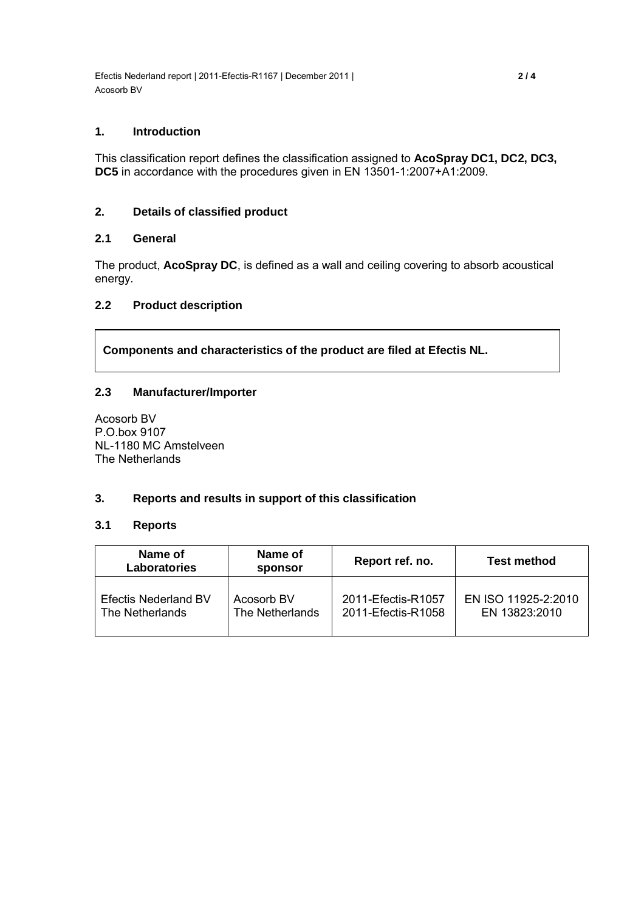Efectis Nederland report | 2011-Efectis-R1167 | December 2011 | **2 / 4** Acosorb BV

#### **1. Introduction**

This classification report defines the classification assigned to **AcoSpray DC1, DC2, DC3, DC5** in accordance with the procedures given in EN 13501-1:2007+A1:2009.

# **2. Details of classified product**

# **2.1 General**

The product, **AcoSpray DC**, is defined as a wall and ceiling covering to absorb acoustical energy.

# **2.2 Product description**

**Components and characteristics of the product are filed at Efectis NL.** 

# **2.3 Manufacturer/Importer**

Acosorb BV P.O.box 9107 NL-1180 MC Amstelveen The Netherlands

#### **3. Reports and results in support of this classification**

#### **3.1 Reports**

| Name of<br><b>Laboratories</b> | Name of<br>sponsor | Report ref. no.    | <b>Test method</b>  |
|--------------------------------|--------------------|--------------------|---------------------|
| <b>Efectis Nederland BV</b>    | Acosorb BV         | 2011-Efectis-R1057 | EN ISO 11925-2:2010 |
| The Netherlands                | The Netherlands    | 2011-Efectis-R1058 | EN 13823:2010       |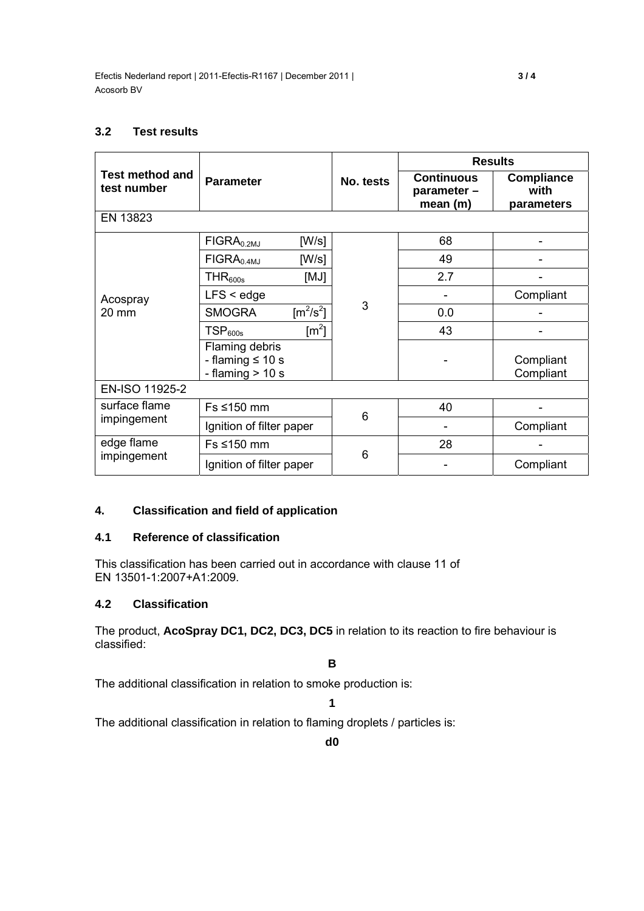# **3.2 Test results**

| <b>Test method and</b><br>test number |                                                               | No. tests | <b>Results</b>                              |                                         |  |  |
|---------------------------------------|---------------------------------------------------------------|-----------|---------------------------------------------|-----------------------------------------|--|--|
|                                       | <b>Parameter</b>                                              |           | <b>Continuous</b><br>parameter -<br>mean(m) | <b>Compliance</b><br>with<br>parameters |  |  |
| EN 13823                              |                                                               |           |                                             |                                         |  |  |
| Acospray<br>20 mm                     | [W/s]<br>$FIGRA0.2MJ$                                         | 3         | 68                                          |                                         |  |  |
|                                       | [W/s]<br>$FIGRA0.4MJ$                                         |           | 49                                          |                                         |  |  |
|                                       | [MJ]<br>THR <sub>600s</sub>                                   |           | 2.7                                         |                                         |  |  |
|                                       | $LFS <$ edge                                                  |           |                                             | Compliant                               |  |  |
|                                       | $\text{[m}^2/\text{s}^2\text{]}$<br><b>SMOGRA</b>             |           | 0.0                                         |                                         |  |  |
|                                       | $\text{Im}^2$<br>TSP <sub>600s</sub>                          |           | 43                                          |                                         |  |  |
|                                       | Flaming debris<br>- flaming $\leq 10$ s<br>- flaming $> 10 s$ |           |                                             | Compliant<br>Compliant                  |  |  |
| EN-ISO 11925-2                        |                                                               |           |                                             |                                         |  |  |
| surface flame<br>impingement          | Fs ≤150 mm                                                    | 6         | 40                                          |                                         |  |  |
|                                       | Ignition of filter paper                                      |           |                                             | Compliant                               |  |  |
| edge flame<br>impingement             | Fs ≤150 mm                                                    |           | 28                                          |                                         |  |  |
|                                       | Ignition of filter paper                                      | 6         |                                             | Compliant                               |  |  |

# **4. Classification and field of application**

# **4.1 Reference of classification**

This classification has been carried out in accordance with clause 11 of EN 13501-1:2007+A1:2009.

# **4.2 Classification**

The product, **AcoSpray DC1, DC2, DC3, DC5** in relation to its reaction to fire behaviour is classified:

**B** 

The additional classification in relation to smoke production is:

**1** 

The additional classification in relation to flaming droplets / particles is: